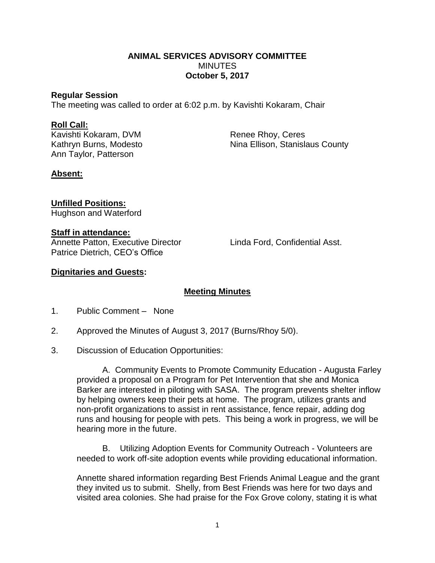### **ANIMAL SERVICES ADVISORY COMMITTEE MINUTES October 5, 2017**

#### **Regular Session**

The meeting was called to order at 6:02 p.m. by Kavishti Kokaram, Chair

#### **Roll Call:**

Kavishti Kokaram, DVM Renee Rhoy, Ceres Ann Taylor, Patterson

Kathryn Burns, Modesto Nina Ellison, Stanislaus County

## **Absent:**

**Unfilled Positions:** Hughson and Waterford

### **Staff in attendance:**

Annette Patton, Executive Director Linda Ford, Confidential Asst. Patrice Dietrich, CEO's Office

## **Dignitaries and Guests:**

# **Meeting Minutes**

- 1. Public Comment None
- 2. Approved the Minutes of August 3, 2017 (Burns/Rhoy 5/0).
- 3. Discussion of Education Opportunities:

A. Community Events to Promote Community Education - Augusta Farley provided a proposal on a Program for Pet Intervention that she and Monica Barker are interested in piloting with SASA. The program prevents shelter inflow by helping owners keep their pets at home. The program, utilizes grants and non-profit organizations to assist in rent assistance, fence repair, adding dog runs and housing for people with pets. This being a work in progress, we will be hearing more in the future.

B. Utilizing Adoption Events for Community Outreach - Volunteers are needed to work off-site adoption events while providing educational information.

Annette shared information regarding Best Friends Animal League and the grant they invited us to submit. Shelly, from Best Friends was here for two days and visited area colonies. She had praise for the Fox Grove colony, stating it is what